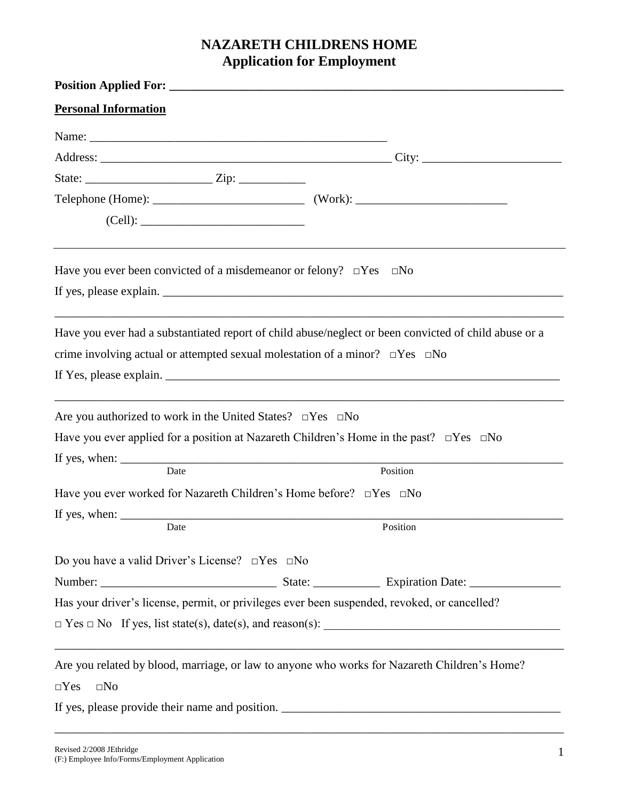# **NAZARETH CHILDRENS HOME Application for Employment**

| <b>Personal Information</b>                                                                                    |  |                                                                                                          |
|----------------------------------------------------------------------------------------------------------------|--|----------------------------------------------------------------------------------------------------------|
| Name: 2008. 2008. 2010. 2010. 2010. 2010. 2010. 2010. 2010. 2010. 2010. 2010. 2010. 2010. 2010. 2010. 2010. 20 |  |                                                                                                          |
|                                                                                                                |  |                                                                                                          |
|                                                                                                                |  |                                                                                                          |
|                                                                                                                |  |                                                                                                          |
|                                                                                                                |  |                                                                                                          |
| Have you ever been convicted of a misdemeanor or felony? $\Box$ Yes $\Box$ No                                  |  |                                                                                                          |
|                                                                                                                |  |                                                                                                          |
|                                                                                                                |  | Have you ever had a substantiated report of child abuse/neglect or been convicted of child abuse or a    |
| crime involving actual or attempted sexual molestation of a minor? $\square$ Yes $\square$ No                  |  |                                                                                                          |
|                                                                                                                |  |                                                                                                          |
| Are you authorized to work in the United States? $\square$ Yes $\square$ No                                    |  |                                                                                                          |
|                                                                                                                |  | Have you ever applied for a position at Nazareth Children's Home in the past? $\square$ Yes $\square$ No |
|                                                                                                                |  |                                                                                                          |
| Date                                                                                                           |  | Position                                                                                                 |
| Have you ever worked for Nazareth Children's Home before? $\square$ Yes $\square$ No                           |  |                                                                                                          |
| If yes, when: $\frac{\ }{\ }$<br>Date                                                                          |  | Position                                                                                                 |
| Do you have a valid Driver's License? $\square$ Yes $\square$ No                                               |  |                                                                                                          |
|                                                                                                                |  |                                                                                                          |
|                                                                                                                |  | Has your driver's license, permit, or privileges ever been suspended, revoked, or cancelled?             |
|                                                                                                                |  |                                                                                                          |
|                                                                                                                |  | Are you related by blood, marriage, or law to anyone who works for Nazareth Children's Home?             |
| $\square$ No<br>$\Box$ Yes                                                                                     |  |                                                                                                          |
|                                                                                                                |  |                                                                                                          |
|                                                                                                                |  |                                                                                                          |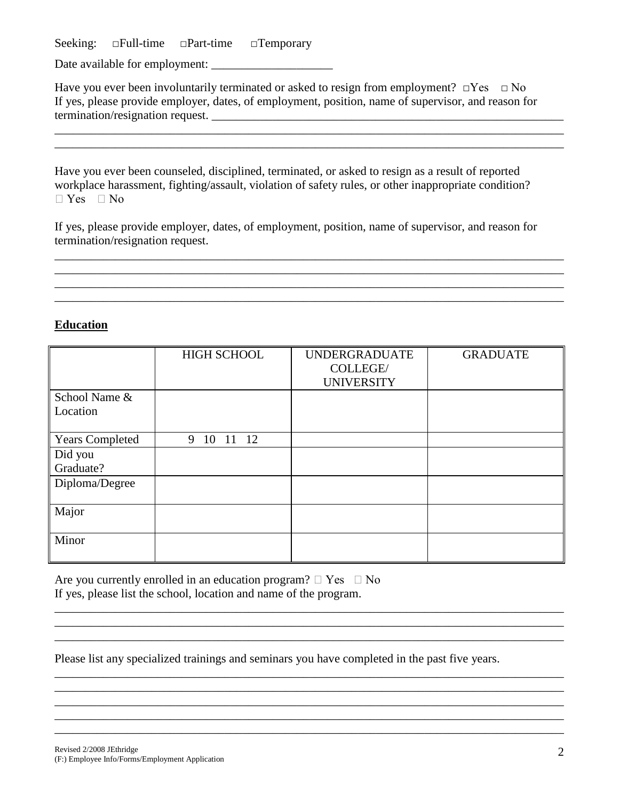Seeking: □Full-time □Part-time □Temporary

Date available for employment: \_\_\_\_\_\_\_\_\_\_\_\_\_\_\_\_\_\_\_\_

Have you ever been involuntarily terminated or asked to resign from employment?  $\Box$ Yes  $\Box$  No If yes, please provide employer, dates, of employment, position, name of supervisor, and reason for termination/resignation request.

\_\_\_\_\_\_\_\_\_\_\_\_\_\_\_\_\_\_\_\_\_\_\_\_\_\_\_\_\_\_\_\_\_\_\_\_\_\_\_\_\_\_\_\_\_\_\_\_\_\_\_\_\_\_\_\_\_\_\_\_\_\_\_\_\_\_\_\_\_\_\_\_\_\_\_\_\_\_\_\_\_\_\_\_ \_\_\_\_\_\_\_\_\_\_\_\_\_\_\_\_\_\_\_\_\_\_\_\_\_\_\_\_\_\_\_\_\_\_\_\_\_\_\_\_\_\_\_\_\_\_\_\_\_\_\_\_\_\_\_\_\_\_\_\_\_\_\_\_\_\_\_\_\_\_\_\_\_\_\_\_\_\_\_\_\_\_\_\_

Have you ever been counseled, disciplined, terminated, or asked to resign as a result of reported workplace harassment, fighting/assault, violation of safety rules, or other inappropriate condition?  $\Box$  Yes  $\Box$  No

If yes, please provide employer, dates, of employment, position, name of supervisor, and reason for termination/resignation request.

\_\_\_\_\_\_\_\_\_\_\_\_\_\_\_\_\_\_\_\_\_\_\_\_\_\_\_\_\_\_\_\_\_\_\_\_\_\_\_\_\_\_\_\_\_\_\_\_\_\_\_\_\_\_\_\_\_\_\_\_\_\_\_\_\_\_\_\_\_\_\_\_\_\_\_\_\_\_\_\_\_\_\_\_ \_\_\_\_\_\_\_\_\_\_\_\_\_\_\_\_\_\_\_\_\_\_\_\_\_\_\_\_\_\_\_\_\_\_\_\_\_\_\_\_\_\_\_\_\_\_\_\_\_\_\_\_\_\_\_\_\_\_\_\_\_\_\_\_\_\_\_\_\_\_\_\_\_\_\_\_\_\_\_\_\_\_\_\_ \_\_\_\_\_\_\_\_\_\_\_\_\_\_\_\_\_\_\_\_\_\_\_\_\_\_\_\_\_\_\_\_\_\_\_\_\_\_\_\_\_\_\_\_\_\_\_\_\_\_\_\_\_\_\_\_\_\_\_\_\_\_\_\_\_\_\_\_\_\_\_\_\_\_\_\_\_\_\_\_\_\_\_\_ \_\_\_\_\_\_\_\_\_\_\_\_\_\_\_\_\_\_\_\_\_\_\_\_\_\_\_\_\_\_\_\_\_\_\_\_\_\_\_\_\_\_\_\_\_\_\_\_\_\_\_\_\_\_\_\_\_\_\_\_\_\_\_\_\_\_\_\_\_\_\_\_\_\_\_\_\_\_\_\_\_\_\_\_

## **Education**

|                        | <b>HIGH SCHOOL</b>  | <b>UNDERGRADUATE</b> | <b>GRADUATE</b> |
|------------------------|---------------------|----------------------|-----------------|
|                        |                     | COLLEGE/             |                 |
|                        |                     | <b>UNIVERSITY</b>    |                 |
| School Name &          |                     |                      |                 |
| Location               |                     |                      |                 |
|                        |                     |                      |                 |
| <b>Years Completed</b> | 12<br>10<br>11<br>9 |                      |                 |
| Did you                |                     |                      |                 |
| Graduate?              |                     |                      |                 |
| Diploma/Degree         |                     |                      |                 |
|                        |                     |                      |                 |
| Major                  |                     |                      |                 |
|                        |                     |                      |                 |
| Minor                  |                     |                      |                 |
|                        |                     |                      |                 |

\_\_\_\_\_\_\_\_\_\_\_\_\_\_\_\_\_\_\_\_\_\_\_\_\_\_\_\_\_\_\_\_\_\_\_\_\_\_\_\_\_\_\_\_\_\_\_\_\_\_\_\_\_\_\_\_\_\_\_\_\_\_\_\_\_\_\_\_\_\_\_\_\_\_\_\_\_\_\_\_\_\_\_\_  $\mathcal{L}_\mathcal{L} = \{ \mathcal{L}_\mathcal{L} = \{ \mathcal{L}_\mathcal{L} = \{ \mathcal{L}_\mathcal{L} = \{ \mathcal{L}_\mathcal{L} = \{ \mathcal{L}_\mathcal{L} = \{ \mathcal{L}_\mathcal{L} = \{ \mathcal{L}_\mathcal{L} = \{ \mathcal{L}_\mathcal{L} = \{ \mathcal{L}_\mathcal{L} = \{ \mathcal{L}_\mathcal{L} = \{ \mathcal{L}_\mathcal{L} = \{ \mathcal{L}_\mathcal{L} = \{ \mathcal{L}_\mathcal{L} = \{ \mathcal{L}_\mathcal{$ \_\_\_\_\_\_\_\_\_\_\_\_\_\_\_\_\_\_\_\_\_\_\_\_\_\_\_\_\_\_\_\_\_\_\_\_\_\_\_\_\_\_\_\_\_\_\_\_\_\_\_\_\_\_\_\_\_\_\_\_\_\_\_\_\_\_\_\_\_\_\_\_\_\_\_\_\_\_\_\_\_\_\_\_

\_\_\_\_\_\_\_\_\_\_\_\_\_\_\_\_\_\_\_\_\_\_\_\_\_\_\_\_\_\_\_\_\_\_\_\_\_\_\_\_\_\_\_\_\_\_\_\_\_\_\_\_\_\_\_\_\_\_\_\_\_\_\_\_\_\_\_\_\_\_\_\_\_\_\_\_\_\_\_\_\_\_\_\_ \_\_\_\_\_\_\_\_\_\_\_\_\_\_\_\_\_\_\_\_\_\_\_\_\_\_\_\_\_\_\_\_\_\_\_\_\_\_\_\_\_\_\_\_\_\_\_\_\_\_\_\_\_\_\_\_\_\_\_\_\_\_\_\_\_\_\_\_\_\_\_\_\_\_\_\_\_\_\_\_\_\_\_\_ \_\_\_\_\_\_\_\_\_\_\_\_\_\_\_\_\_\_\_\_\_\_\_\_\_\_\_\_\_\_\_\_\_\_\_\_\_\_\_\_\_\_\_\_\_\_\_\_\_\_\_\_\_\_\_\_\_\_\_\_\_\_\_\_\_\_\_\_\_\_\_\_\_\_\_\_\_\_\_\_\_\_\_\_ \_\_\_\_\_\_\_\_\_\_\_\_\_\_\_\_\_\_\_\_\_\_\_\_\_\_\_\_\_\_\_\_\_\_\_\_\_\_\_\_\_\_\_\_\_\_\_\_\_\_\_\_\_\_\_\_\_\_\_\_\_\_\_\_\_\_\_\_\_\_\_\_\_\_\_\_\_\_\_\_\_\_\_\_ \_\_\_\_\_\_\_\_\_\_\_\_\_\_\_\_\_\_\_\_\_\_\_\_\_\_\_\_\_\_\_\_\_\_\_\_\_\_\_\_\_\_\_\_\_\_\_\_\_\_\_\_\_\_\_\_\_\_\_\_\_\_\_\_\_\_\_\_\_\_\_\_\_\_\_\_\_\_\_\_\_\_\_\_

Are you currently enrolled in an education program?  $\Box$  Yes  $\Box$  No If yes, please list the school, location and name of the program.

Please list any specialized trainings and seminars you have completed in the past five years.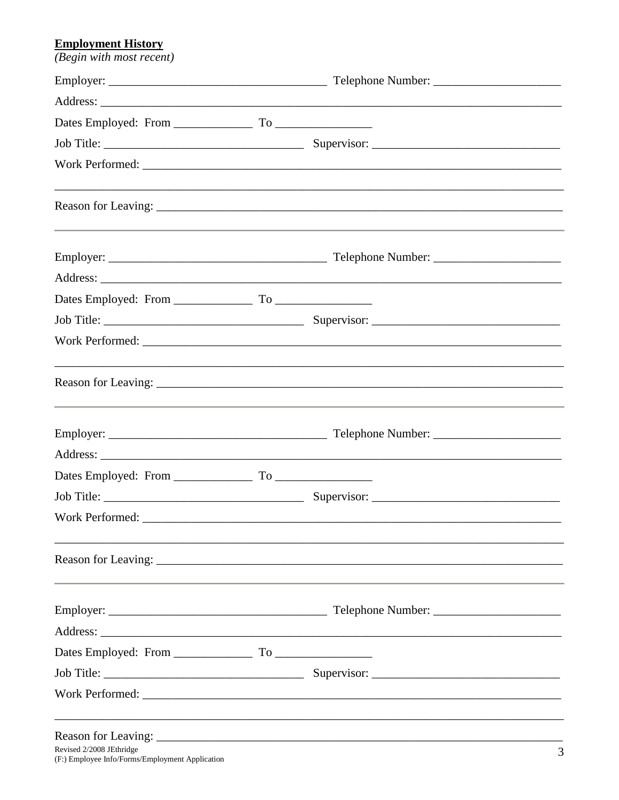# **Employment History**

| (Begin with most recent) |  |
|--------------------------|--|
|                          |  |
|                          |  |
|                          |  |
|                          |  |
|                          |  |
|                          |  |
|                          |  |
|                          |  |
|                          |  |
|                          |  |
|                          |  |
|                          |  |
|                          |  |
|                          |  |
|                          |  |
|                          |  |
|                          |  |
|                          |  |
|                          |  |
|                          |  |
|                          |  |
|                          |  |
|                          |  |
|                          |  |